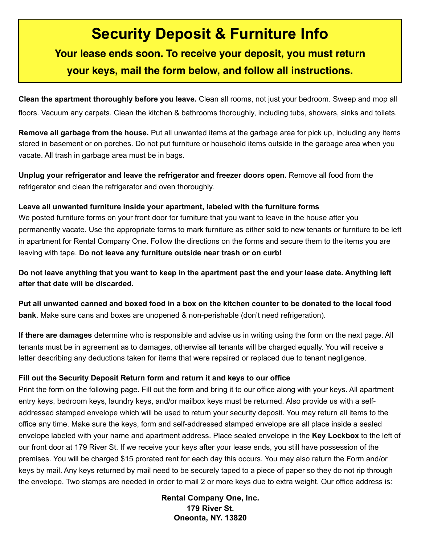# **Security Deposit & Furniture Info**

## **Your lease ends soon. To receive your deposit, you must return your keys, mail the form below, and follow all instructions.**

**Clean the apartment thoroughly before you leave.** Clean all rooms, not just your bedroom. Sweep and mop all floors. Vacuum any carpets. Clean the kitchen & bathrooms thoroughly, including tubs, showers, sinks and toilets.

**Remove all garbage from the house.** Put all unwanted items at the garbage area for pick up, including any items stored in basement or on porches. Do not put furniture or household items outside in the garbage area when you vacate. All trash in garbage area must be in bags.

**Unplug your refrigerator and leave the refrigerator and freezer doors open.** Remove all food from the refrigerator and clean the refrigerator and oven thoroughly.

#### **Leave all unwanted furniture inside your apartment, labeled with the furniture forms**

We posted furniture forms on your front door for furniture that you want to leave in the house after you permanently vacate. Use the appropriate forms to mark furniture as either sold to new tenants or furniture to be left in apartment for Rental Company One. Follow the directions on the forms and secure them to the items you are leaving with tape. **Do not leave any furniture outside near trash or on curb!**

**Do not leave anything that you want to keep in the apartment past the end your lease date. Anything left after that date will be discarded.**

**Put all unwanted canned and boxed food in a box on the kitchen counter to be donated to the local food bank**. Make sure cans and boxes are unopened & non-perishable (don't need refrigeration).

**If there are damages** determine who is responsible and advise us in writing using the form on the next page. All tenants must be in agreement as to damages, otherwise all tenants will be charged equally. You will receive a letter describing any deductions taken for items that were repaired or replaced due to tenant negligence.

#### **Fill out the Security Deposit Return form and return it and keys to our office**

Print the form on the following page. Fill out the form and bring it to our office along with your keys. All apartment entry keys, bedroom keys, laundry keys, and/or mailbox keys must be returned. Also provide us with a selfaddressed stamped envelope which will be used to return your security deposit. You may return all items to the office any time. Make sure the keys, form and self-addressed stamped envelope are all place inside a sealed envelope labeled with your name and apartment address. Place sealed envelope in the **Key Lockbox** to the left of our front door at 179 River St. If we receive your keys after your lease ends, you still have possession of the premises. You will be charged \$15 prorated rent for each day this occurs. You may also return the Form and/or keys by mail. Any keys returned by mail need to be securely taped to a piece of paper so they do not rip through the envelope. Two stamps are needed in order to mail 2 or more keys due to extra weight. Our office address is:

> **Rental Company One, Inc. 179 River St. Oneonta, NY. 13820**